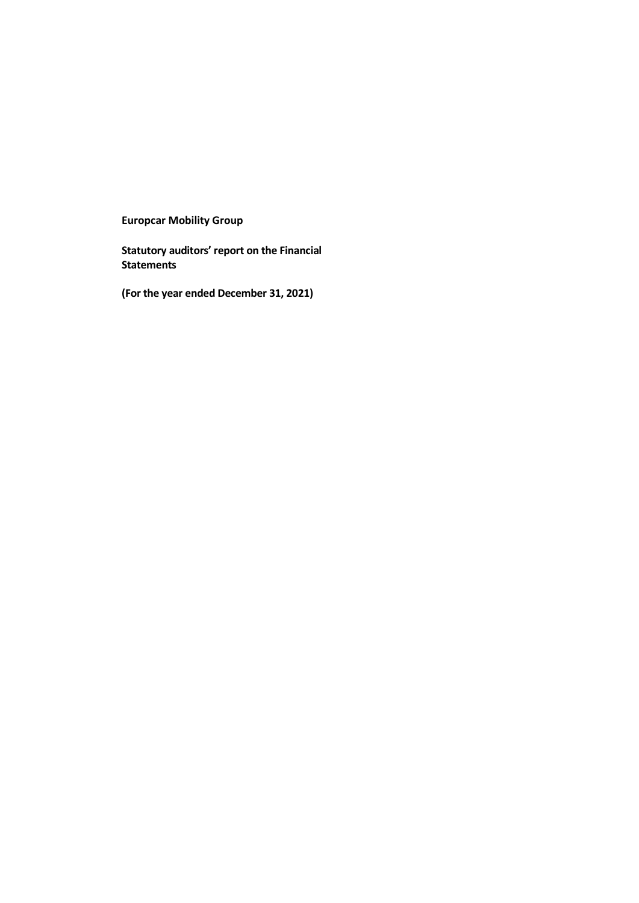**Europcar Mobility Group**

**Statutory auditors' report on the Financial Statements**

**(For the year ended December 31, 2021)**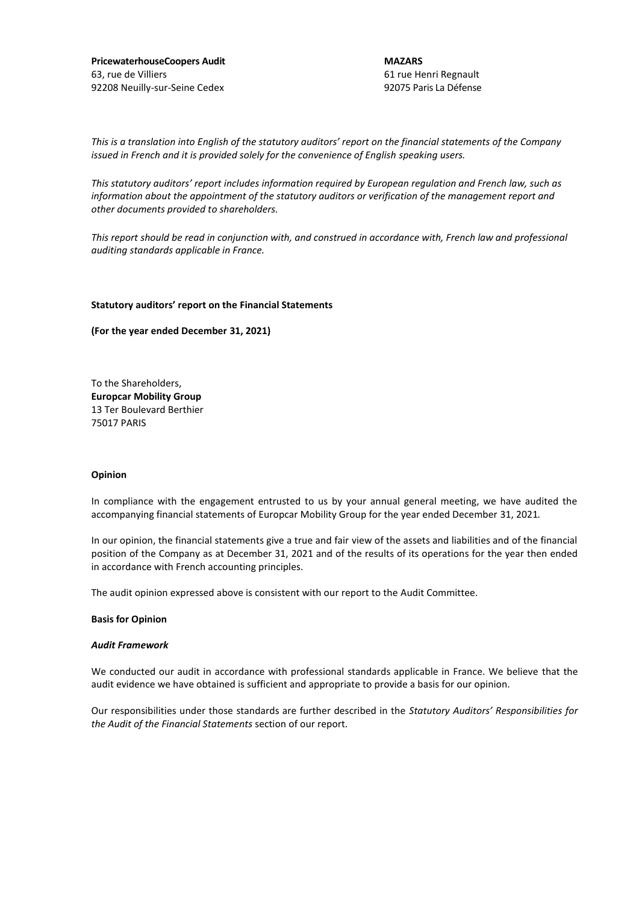**PricewaterhouseCoopers Audit** 63, rue de Villiers 92208 Neuilly-sur-Seine Cedex

**MAZARS** 61 rue Henri Regnault 92075 Paris La Défense

*This is a translation into English of the statutory auditors' report on the financial statements of the Company issued in French and it is provided solely for the convenience of English speaking users.*

*This statutory auditors' report includes information required by European regulation and French law, such as information about the appointment of the statutory auditors or verification of the management report and other documents provided to shareholders.*

*This report should be read in conjunction with, and construed in accordance with, French law and professional auditing standards applicable in France.*

#### **Statutory auditors' report on the Financial Statements**

**(For the year ended December 31, 2021)**

To the Shareholders, **Europcar Mobility Group** 13 Ter Boulevard Berthier 75017 PARIS

#### **Opinion**

In compliance with the engagement entrusted to us by your annual general meeting, we have audited the accompanying financial statements of Europcar Mobility Group for the year ended December 31, 2021*.* 

In our opinion, the financial statements give a true and fair view of the assets and liabilities and of the financial position of the Company as at December 31, 2021 and of the results of its operations for the year then ended in accordance with French accounting principles.

The audit opinion expressed above is consistent with our report to the Audit Committee.

#### **Basis for Opinion**

#### *Audit Framework*

We conducted our audit in accordance with professional standards applicable in France. We believe that the audit evidence we have obtained is sufficient and appropriate to provide a basis for our opinion.

Our responsibilities under those standards are further described in the *Statutory Auditors' Responsibilities for the Audit of the Financial Statements* section of our report.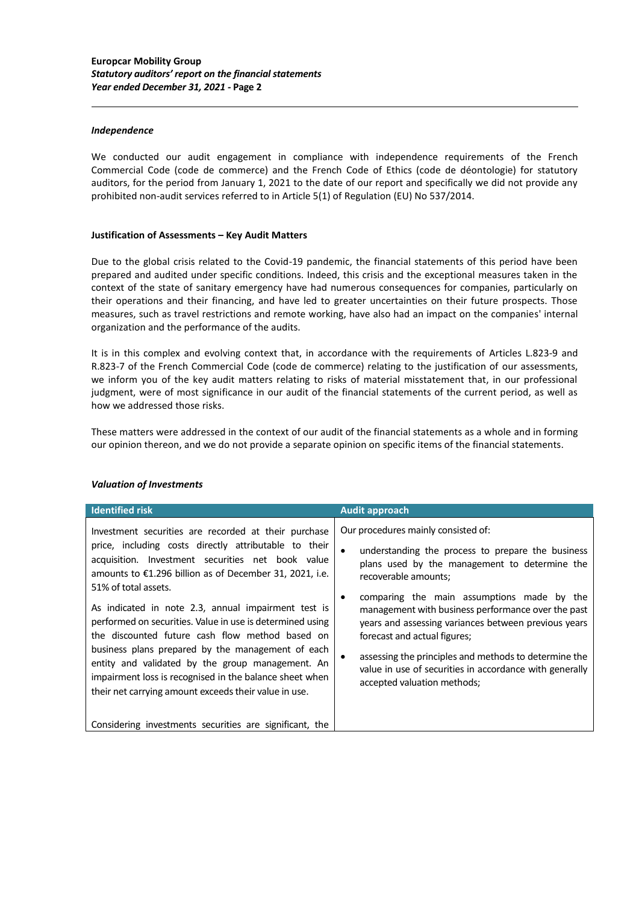### *Independence*

We conducted our audit engagement in compliance with independence requirements of the French Commercial Code (code de commerce) and the French Code of Ethics (code de déontologie) for statutory auditors, for the period from January 1, 2021 to the date of our report and specifically we did not provide any prohibited non-audit services referred to in Article 5(1) of Regulation (EU) No 537/2014.

## **Justification of Assessments – Key Audit Matters**

Due to the global crisis related to the Covid-19 pandemic, the financial statements of this period have been prepared and audited under specific conditions. Indeed, this crisis and the exceptional measures taken in the context of the state of sanitary emergency have had numerous consequences for companies, particularly on their operations and their financing, and have led to greater uncertainties on their future prospects. Those measures, such as travel restrictions and remote working, have also had an impact on the companies' internal organization and the performance of the audits.

It is in this complex and evolving context that, in accordance with the requirements of Articles L.823-9 and R.823-7 of the French Commercial Code (code de commerce) relating to the justification of our assessments, we inform you of the key audit matters relating to risks of material misstatement that, in our professional judgment, were of most significance in our audit of the financial statements of the current period, as well as how we addressed those risks.

These matters were addressed in the context of our audit of the financial statements as a whole and in forming our opinion thereon, and we do not provide a separate opinion on specific items of the financial statements.

| <b>Identified risk</b>                                                                                                                                                                                                                                                                                                                                                                                                                                                                                                                                                                                                                                                                                               | <b>Audit approach</b>                                                                                                                                                                                                                                                                                                                                                                                                                                                                                                         |
|----------------------------------------------------------------------------------------------------------------------------------------------------------------------------------------------------------------------------------------------------------------------------------------------------------------------------------------------------------------------------------------------------------------------------------------------------------------------------------------------------------------------------------------------------------------------------------------------------------------------------------------------------------------------------------------------------------------------|-------------------------------------------------------------------------------------------------------------------------------------------------------------------------------------------------------------------------------------------------------------------------------------------------------------------------------------------------------------------------------------------------------------------------------------------------------------------------------------------------------------------------------|
| Investment securities are recorded at their purchase<br>price, including costs directly attributable to their<br>acquisition. Investment securities net book value<br>amounts to €1.296 billion as of December 31, 2021, i.e.<br>51% of total assets.<br>As indicated in note 2.3, annual impairment test is<br>performed on securities. Value in use is determined using<br>the discounted future cash flow method based on<br>business plans prepared by the management of each<br>entity and validated by the group management. An<br>impairment loss is recognised in the balance sheet when<br>their net carrying amount exceeds their value in use.<br>Considering investments securities are significant, the | Our procedures mainly consisted of:<br>understanding the process to prepare the business<br>$\bullet$<br>plans used by the management to determine the<br>recoverable amounts;<br>comparing the main assumptions made by the<br>management with business performance over the past<br>years and assessing variances between previous years<br>forecast and actual figures;<br>assessing the principles and methods to determine the<br>value in use of securities in accordance with generally<br>accepted valuation methods; |

### *Valuation of Investments*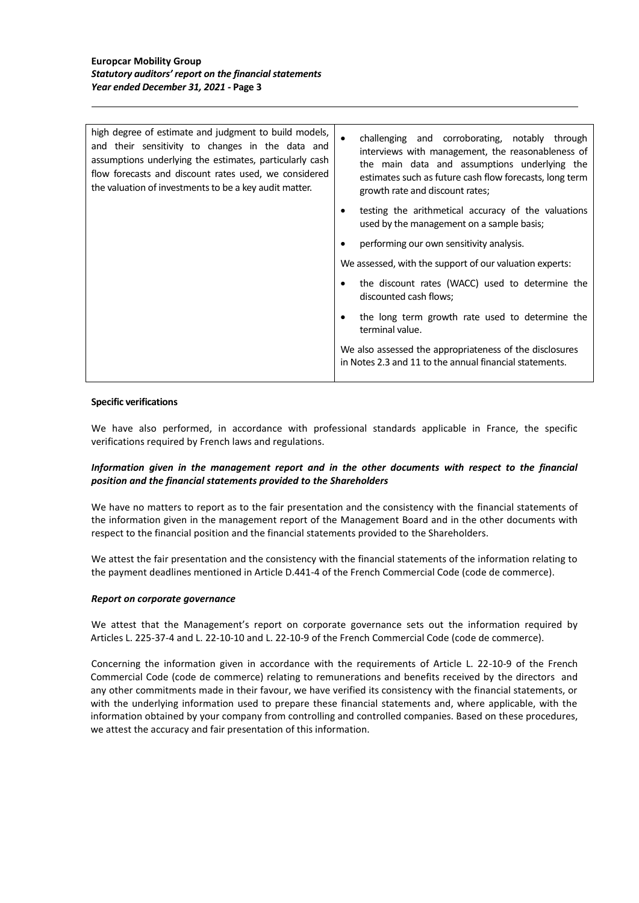| high degree of estimate and judgment to build models,<br>and their sensitivity to changes in the data and<br>assumptions underlying the estimates, particularly cash<br>flow forecasts and discount rates used, we considered<br>the valuation of investments to be a key audit matter. | challenging and corroborating, notably through<br>interviews with management, the reasonableness of<br>the main data and assumptions underlying the<br>estimates such as future cash flow forecasts, long term<br>growth rate and discount rates; |
|-----------------------------------------------------------------------------------------------------------------------------------------------------------------------------------------------------------------------------------------------------------------------------------------|---------------------------------------------------------------------------------------------------------------------------------------------------------------------------------------------------------------------------------------------------|
|                                                                                                                                                                                                                                                                                         | testing the arithmetical accuracy of the valuations<br>used by the management on a sample basis;                                                                                                                                                  |
|                                                                                                                                                                                                                                                                                         | performing our own sensitivity analysis.                                                                                                                                                                                                          |
|                                                                                                                                                                                                                                                                                         | We assessed, with the support of our valuation experts:                                                                                                                                                                                           |
|                                                                                                                                                                                                                                                                                         | the discount rates (WACC) used to determine the<br>discounted cash flows;                                                                                                                                                                         |
|                                                                                                                                                                                                                                                                                         | the long term growth rate used to determine the<br>terminal value.                                                                                                                                                                                |
|                                                                                                                                                                                                                                                                                         | We also assessed the appropriateness of the disclosures<br>in Notes 2.3 and 11 to the annual financial statements.                                                                                                                                |

### **Specific verifications**

We have also performed, in accordance with professional standards applicable in France, the specific verifications required by French laws and regulations.

# *Information given in the management report and in the other documents with respect to the financial position and the financial statements provided to the Shareholders*

We have no matters to report as to the fair presentation and the consistency with the financial statements of the information given in the management report of the Management Board and in the other documents with respect to the financial position and the financial statements provided to the Shareholders.

We attest the fair presentation and the consistency with the financial statements of the information relating to the payment deadlines mentioned in Article D.441-4 of the French Commercial Code (code de commerce).

### *Report on corporate governance*

We attest that the Management's report on corporate governance sets out the information required by Articles L. 225-37-4 and L. 22-10-10 and L. 22-10-9 of the French Commercial Code (code de commerce).

Concerning the information given in accordance with the requirements of Article L. 22-10-9 of the French Commercial Code (code de commerce) relating to remunerations and benefits received by the directors and any other commitments made in their favour, we have verified its consistency with the financial statements, or with the underlying information used to prepare these financial statements and, where applicable, with the information obtained by your company from controlling and controlled companies. Based on these procedures, we attest the accuracy and fair presentation of this information.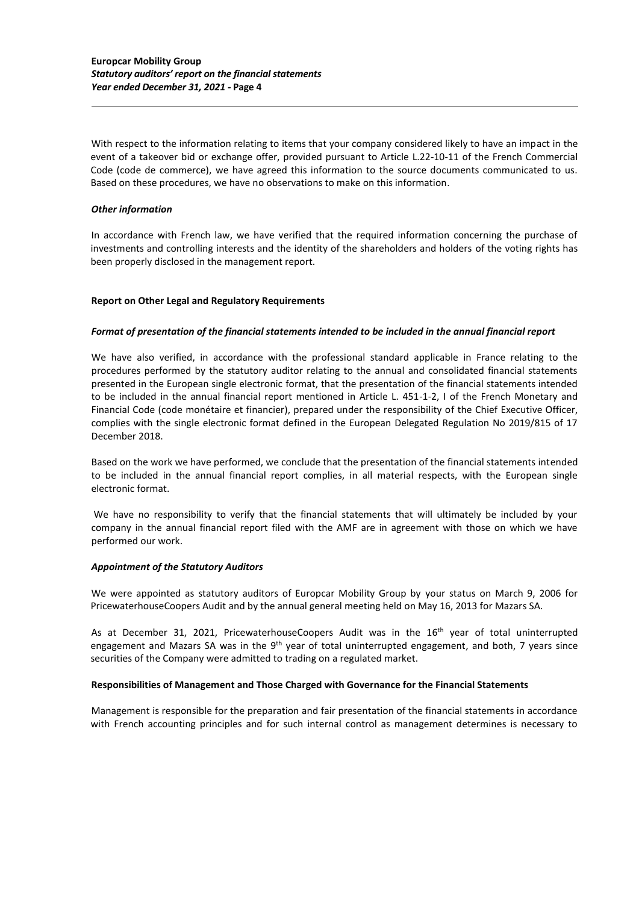With respect to the information relating to items that your company considered likely to have an impact in the event of a takeover bid or exchange offer, provided pursuant to Article L.22-10-11 of the French Commercial Code (code de commerce), we have agreed this information to the source documents communicated to us. Based on these procedures, we have no observations to make on this information.

# *Other information*

In accordance with French law, we have verified that the required information concerning the purchase of investments and controlling interests and the identity of the shareholders and holders of the voting rights has been properly disclosed in the management report.

## **Report on Other Legal and Regulatory Requirements**

### *Format of presentation of the financial statements intended to be included in the annual financial report*

We have also verified, in accordance with the professional standard applicable in France relating to the procedures performed by the statutory auditor relating to the annual and consolidated financial statements presented in the European single electronic format, that the presentation of the financial statements intended to be included in the annual financial report mentioned in Article L. 451-1-2, I of the French Monetary and Financial Code (code monétaire et financier), prepared under the responsibility of the Chief Executive Officer, complies with the single electronic format defined in the European Delegated Regulation No 2019/815 of 17 December 2018.

Based on the work we have performed, we conclude that the presentation of the financial statements intended to be included in the annual financial report complies, in all material respects, with the European single electronic format.

We have no responsibility to verify that the financial statements that will ultimately be included by your company in the annual financial report filed with the AMF are in agreement with those on which we have performed our work.

### *Appointment of the Statutory Auditors*

We were appointed as statutory auditors of Europcar Mobility Group by your status on March 9, 2006 for PricewaterhouseCoopers Audit and by the annual general meeting held on May 16, 2013 for Mazars SA.

As at December 31, 2021, PricewaterhouseCoopers Audit was in the 16<sup>th</sup> year of total uninterrupted engagement and Mazars SA was in the 9<sup>th</sup> year of total uninterrupted engagement, and both, 7 years since securities of the Company were admitted to trading on a regulated market.

# **Responsibilities of Management and Those Charged with Governance for the Financial Statements**

Management is responsible for the preparation and fair presentation of the financial statements in accordance with French accounting principles and for such internal control as management determines is necessary to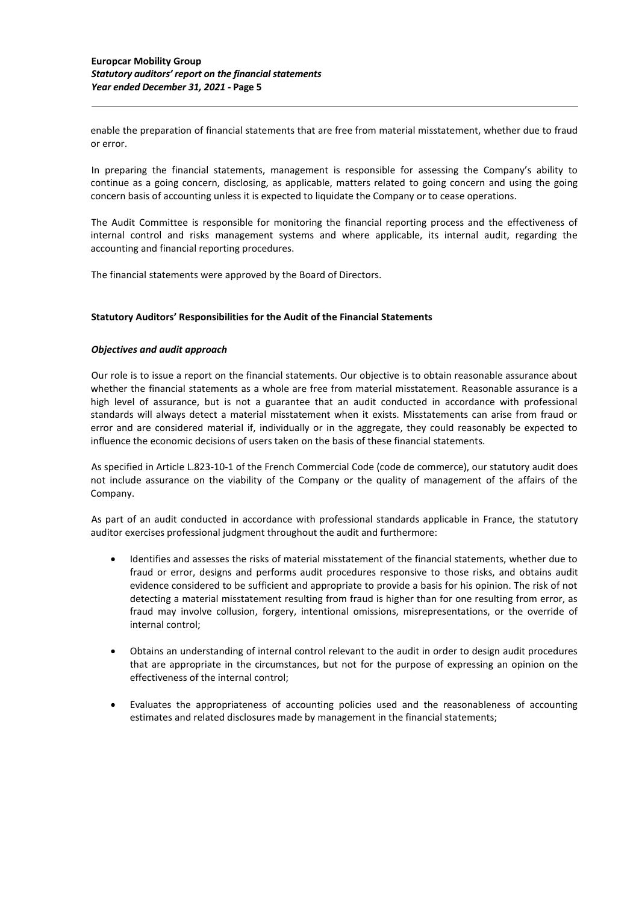enable the preparation of financial statements that are free from material misstatement, whether due to fraud or error.

In preparing the financial statements, management is responsible for assessing the Company's ability to continue as a going concern, disclosing, as applicable, matters related to going concern and using the going concern basis of accounting unless it is expected to liquidate the Company or to cease operations.

The Audit Committee is responsible for monitoring the financial reporting process and the effectiveness of internal control and risks management systems and where applicable, its internal audit, regarding the accounting and financial reporting procedures.

The financial statements were approved by the Board of Directors.

## **Statutory Auditors' Responsibilities for the Audit of the Financial Statements**

## *Objectives and audit approach*

Our role is to issue a report on the financial statements. Our objective is to obtain reasonable assurance about whether the financial statements as a whole are free from material misstatement. Reasonable assurance is a high level of assurance, but is not a guarantee that an audit conducted in accordance with professional standards will always detect a material misstatement when it exists. Misstatements can arise from fraud or error and are considered material if, individually or in the aggregate, they could reasonably be expected to influence the economic decisions of users taken on the basis of these financial statements.

As specified in Article L.823-10-1 of the French Commercial Code (code de commerce), our statutory audit does not include assurance on the viability of the Company or the quality of management of the affairs of the Company.

As part of an audit conducted in accordance with professional standards applicable in France, the statutory auditor exercises professional judgment throughout the audit and furthermore:

- Identifies and assesses the risks of material misstatement of the financial statements, whether due to fraud or error, designs and performs audit procedures responsive to those risks, and obtains audit evidence considered to be sufficient and appropriate to provide a basis for his opinion. The risk of not detecting a material misstatement resulting from fraud is higher than for one resulting from error, as fraud may involve collusion, forgery, intentional omissions, misrepresentations, or the override of internal control;
- Obtains an understanding of internal control relevant to the audit in order to design audit procedures that are appropriate in the circumstances, but not for the purpose of expressing an opinion on the effectiveness of the internal control;
- Evaluates the appropriateness of accounting policies used and the reasonableness of accounting estimates and related disclosures made by management in the financial statements;